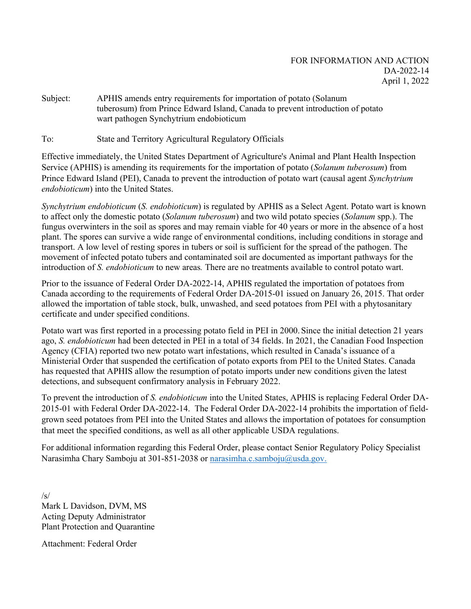Subject: APHIS amends entry requirements for importation of potato (Solanum tuberosum) from Prince Edward Island, Canada to prevent introduction of potato wart pathogen Synchytrium endobioticum

To: State and Territory Agricultural Regulatory Officials

Effective immediately, the United States Department of Agriculture's Animal and Plant Health Inspection Service (APHIS) is amending its requirements for the importation of potato (*Solanum tuberosum*) from Prince Edward Island (PEI), Canada to prevent the introduction of potato wart (causal agent *Synchytrium endobioticum*) into the United States.

*Synchytrium endobioticum* (*S. endobioticum*) is regulated by APHIS as a Select Agent. Potato wart is known to affect only the domestic potato (*Solanum tuberosum*) and two wild potato species (*Solanum* spp.). The fungus overwinters in the soil as spores and may remain viable for 40 years or more in the absence of a host plant. The spores can survive a wide range of environmental conditions, including conditions in storage and transport. A low level of resting spores in tubers or soil is sufficient for the spread of the pathogen. The movement of infected potato tubers and contaminated soil are documented as important pathways for the introduction of *S. endobioticum* to new areas*.* There are no treatments available to control potato wart.

Prior to the issuance of Federal Order DA-2022-14, APHIS regulated the importation of potatoes from Canada according to the requirements of Federal Order DA-2015-01 issued on January 26, 2015. That order allowed the importation of table stock, bulk, unwashed, and seed potatoes from PEI with a phytosanitary certificate and under specified conditions.

Potato wart was first reported in a processing potato field in PEI in 2000. Since the initial detection 21 years ago, *S. endobioticum* had been detected in PEI in a total of 34 fields. In 2021, the Canadian Food Inspection Agency (CFIA) reported two new potato wart infestations, which resulted in Canada's issuance of a Ministerial Order that suspended the certification of potato exports from PEI to the United States. Canada has requested that APHIS allow the resumption of potato imports under new conditions given the latest detections, and subsequent confirmatory analysis in February 2022.

To prevent the introduction of *S. endobioticum* into the United States, APHIS is replacing Federal Order DA-2015-01 with Federal Order DA-2022-14. The Federal Order DA-2022-14 prohibits the importation of fieldgrown seed potatoes from PEI into the United States and allows the importation of potatoes for consumption that meet the specified conditions, as well as all other applicable USDA regulations.

For additional information regarding this Federal Order, please contact Senior Regulatory Policy Specialist Narasimha Chary Samboju at 301-851-2038 or [narasimha.c.samboju@usda.gov.](mailto:narasimha.c.samboju@usda.gov)

/s/ Mark L Davidson, DVM, MS Acting Deputy Administrator Plant Protection and Quarantine

Attachment: Federal Order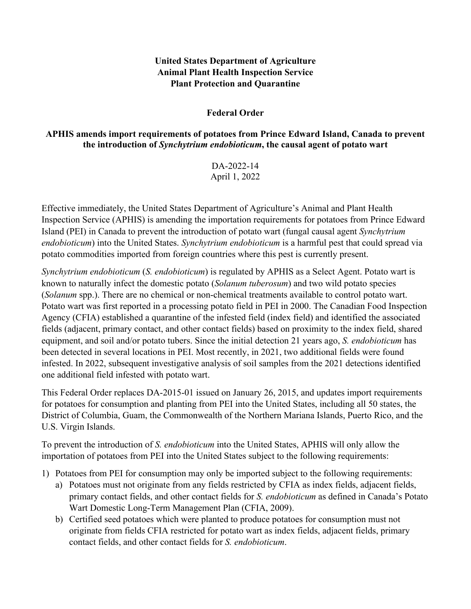## **United States Department of Agriculture Animal Plant Health Inspection Service Plant Protection and Quarantine**

## **Federal Order**

## **APHIS amends import requirements of potatoes from Prince Edward Island, Canada to prevent the introduction of** *Synchytrium endobioticum***, the causal agent of potato wart**

DA-2022-14 April 1, 2022

Effective immediately, the United States Department of Agriculture's Animal and Plant Health Inspection Service (APHIS) is amending the importation requirements for potatoes from Prince Edward Island (PEI) in Canada to prevent the introduction of potato wart (fungal causal agent *Synchytrium endobioticum*) into the United States. *Synchytrium endobioticum* is a harmful pest that could spread via potato commodities imported from foreign countries where this pest is currently present.

*Synchytrium endobioticum* (*S. endobioticum*) is regulated by APHIS as a Select Agent. Potato wart is known to naturally infect the domestic potato (*Solanum tuberosum*) and two wild potato species (*Solanum* spp.). There are no chemical or non-chemical treatments available to control potato wart. Potato wart was first reported in a processing potato field in PEI in 2000. The Canadian Food Inspection Agency (CFIA) established a quarantine of the infested field (index field) and identified the associated fields (adjacent, primary contact, and other contact fields) based on proximity to the index field, shared equipment, and soil and/or potato tubers. Since the initial detection 21 years ago, *S. endobioticum* has been detected in several locations in PEI. Most recently, in 2021, two additional fields were found infested. In 2022, subsequent investigative analysis of soil samples from the 2021 detections identified one additional field infested with potato wart.

This Federal Order replaces DA-2015-01 issued on January 26, 2015, and updates import requirements for potatoes for consumption and planting from PEI into the United States, including all 50 states, the District of Columbia, Guam, the Commonwealth of the Northern Mariana Islands, Puerto Rico, and the U.S. Virgin Islands.

To prevent the introduction of *S. endobioticum* into the United States, APHIS will only allow the importation of potatoes from PEI into the United States subject to the following requirements:

- 1) Potatoes from PEI for consumption may only be imported subject to the following requirements:
	- a) Potatoes must not originate from any fields restricted by CFIA as index fields, adjacent fields, primary contact fields, and other contact fields for *S. endobioticum* as defined in Canada's Potato Wart Domestic Long-Term Management Plan (CFIA, 2009).
	- b) Certified seed potatoes which were planted to produce potatoes for consumption must not originate from fields CFIA restricted for potato wart as index fields, adjacent fields, primary contact fields, and other contact fields for *S. endobioticum*.